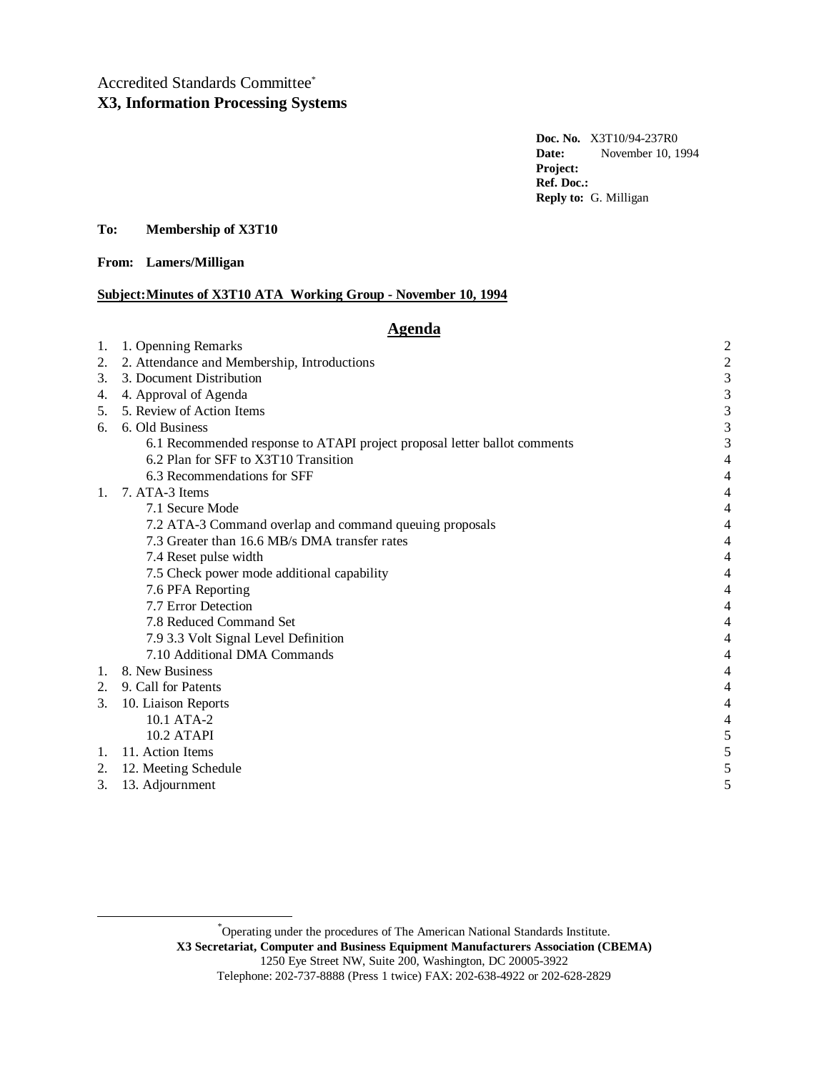# Accredited Standards Committee\* **X3, Information Processing Systems**

**Doc. No.** X3T10/94-237R0 **Date:** November 10, 1994 **Project: Ref. Doc.: Reply to:** G. Milligan

# **To: Membership of X3T10**

**From: Lamers/Milligan**

### **Subject: Minutes of X3T10 ATA Working Group - November 10, 1994**

# **Agenda**

| 1. | 1. Openning Remarks                                                       | $\overline{c}$           |
|----|---------------------------------------------------------------------------|--------------------------|
| 2. | 2. Attendance and Membership, Introductions                               | $\overline{c}$           |
| 3. | 3. Document Distribution                                                  | 3                        |
| 4. | 4. Approval of Agenda                                                     | 3                        |
| 5. | 5. Review of Action Items                                                 | 3                        |
| 6. | 6. Old Business                                                           | 3                        |
|    | 6.1 Recommended response to ATAPI project proposal letter ballot comments | 3                        |
|    | 6.2 Plan for SFF to X3T10 Transition                                      | $\overline{4}$           |
|    | 6.3 Recommendations for SFF                                               | 4                        |
| 1. | 7. ATA-3 Items                                                            | 4                        |
|    | 7.1 Secure Mode                                                           | 4                        |
|    | 7.2 ATA-3 Command overlap and command queuing proposals                   |                          |
|    | 7.3 Greater than 16.6 MB/s DMA transfer rates                             | 4                        |
|    | 7.4 Reset pulse width                                                     | 4                        |
|    | 7.5 Check power mode additional capability                                | 4                        |
|    | 7.6 PFA Reporting                                                         | 4                        |
|    | 7.7 Error Detection                                                       | 4                        |
|    | 7.8 Reduced Command Set                                                   | $\overline{\mathcal{L}}$ |
|    | 7.9 3.3 Volt Signal Level Definition                                      | 4                        |
|    | 7.10 Additional DMA Commands                                              | 4                        |
| 1. | 8. New Business                                                           | $\overline{4}$           |
|    | 2. 9. Call for Patents                                                    | 4                        |
| 3. | 10. Liaison Reports                                                       | 4                        |
|    | 10.1 ATA-2                                                                | 4                        |
|    | <b>10.2 ATAPI</b>                                                         | 5                        |
|    | 1. 11. Action Items                                                       | 5                        |
|    | 2. 12. Meeting Schedule                                                   |                          |
| 3. | 13. Adjournment                                                           | 5                        |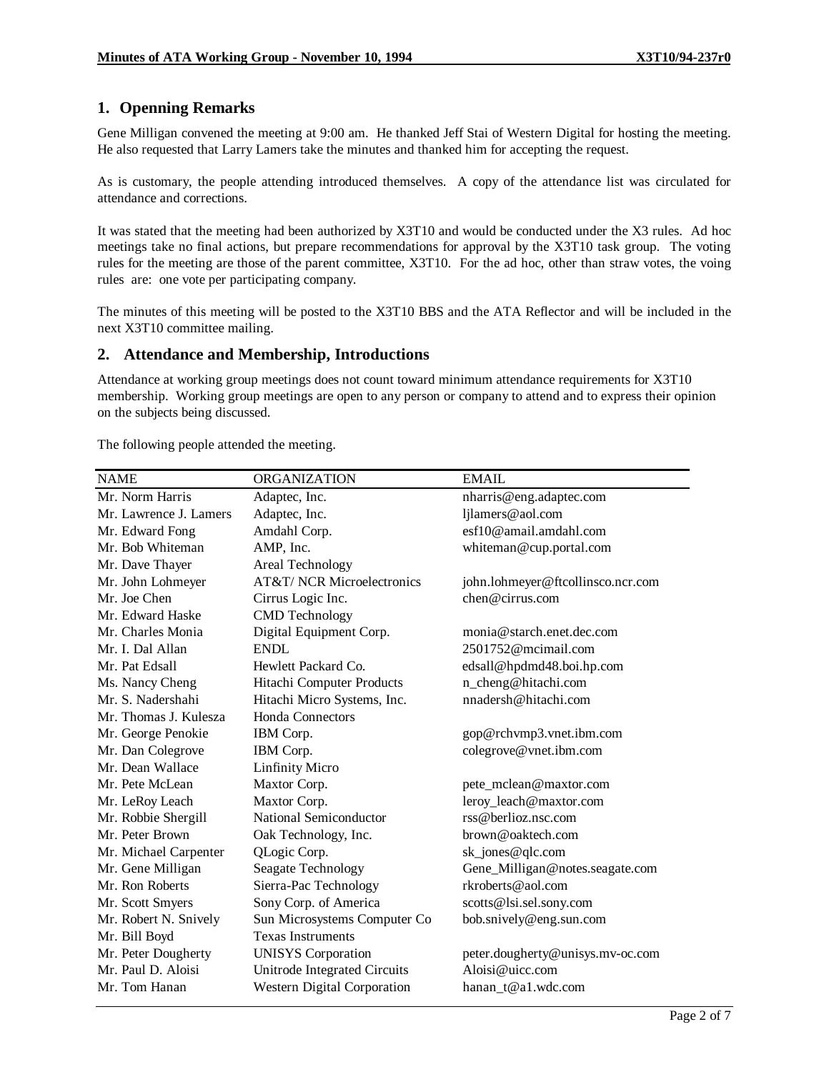# **1. Openning Remarks**

Gene Milligan convened the meeting at 9:00 am. He thanked Jeff Stai of Western Digital for hosting the meeting. He also requested that Larry Lamers take the minutes and thanked him for accepting the request.

As is customary, the people attending introduced themselves. A copy of the attendance list was circulated for attendance and corrections.

It was stated that the meeting had been authorized by X3T10 and would be conducted under the X3 rules. Ad hoc meetings take no final actions, but prepare recommendations for approval by the X3T10 task group. The voting rules for the meeting are those of the parent committee, X3T10. For the ad hoc, other than straw votes, the voing rules are: one vote per participating company.

The minutes of this meeting will be posted to the X3T10 BBS and the ATA Reflector and will be included in the next X3T10 committee mailing.

# **2. Attendance and Membership, Introductions**

Attendance at working group meetings does not count toward minimum attendance requirements for X3T10 membership. Working group meetings are open to any person or company to attend and to express their opinion on the subjects being discussed.

The following people attended the meeting.

| <b>ORGANIZATION</b>                   | <b>EMAIL</b>                      |
|---------------------------------------|-----------------------------------|
| Adaptec, Inc.                         | nharris@eng.adaptec.com           |
| Adaptec, Inc.                         | ljlamers@aol.com                  |
| Amdahl Corp.                          | esf10@amail.amdahl.com            |
| AMP, Inc.                             | whiteman@cup.portal.com           |
| Areal Technology                      |                                   |
| <b>AT&amp;T/ NCR Microelectronics</b> | john.lohmeyer@ftcollinsco.ncr.com |
| Cirrus Logic Inc.                     | chen@cirrus.com                   |
| <b>CMD</b> Technology                 |                                   |
| Digital Equipment Corp.               | monia@starch.enet.dec.com         |
| <b>ENDL</b>                           | $2501752$ @mcimail.com            |
| Hewlett Packard Co.                   | edsall@hpdmd48.boi.hp.com         |
| Hitachi Computer Products             | n_cheng@hitachi.com               |
| Hitachi Micro Systems, Inc.           | nnadersh@hitachi.com              |
| <b>Honda Connectors</b>               |                                   |
| IBM Corp.                             | gop@rchvmp3.vnet.ibm.com          |
| IBM Corp.                             | colegrove@vnet.ibm.com            |
| <b>Linfinity Micro</b>                |                                   |
| Maxtor Corp.                          | pete_mclean@maxtor.com            |
| Maxtor Corp.                          | leroy_leach@maxtor.com            |
| <b>National Semiconductor</b>         | rss@berlioz.nsc.com               |
| Oak Technology, Inc.                  | brown@oaktech.com                 |
| QLogic Corp.                          | sk_jones@qlc.com                  |
| Seagate Technology                    | Gene_Milligan@notes.seagate.com   |
| Sierra-Pac Technology                 | rkroberts@aol.com                 |
| Sony Corp. of America                 | scotts@lsi.sel.sony.com           |
| Sun Microsystems Computer Co          | bob.snively@eng.sun.com           |
| <b>Texas Instruments</b>              |                                   |
| <b>UNISYS</b> Corporation             | peter.dougherty@unisys.mv-oc.com  |
| Unitrode Integrated Circuits          | Aloisi@uicc.com                   |
| Western Digital Corporation           | hanan_t@a1.wdc.com                |
|                                       |                                   |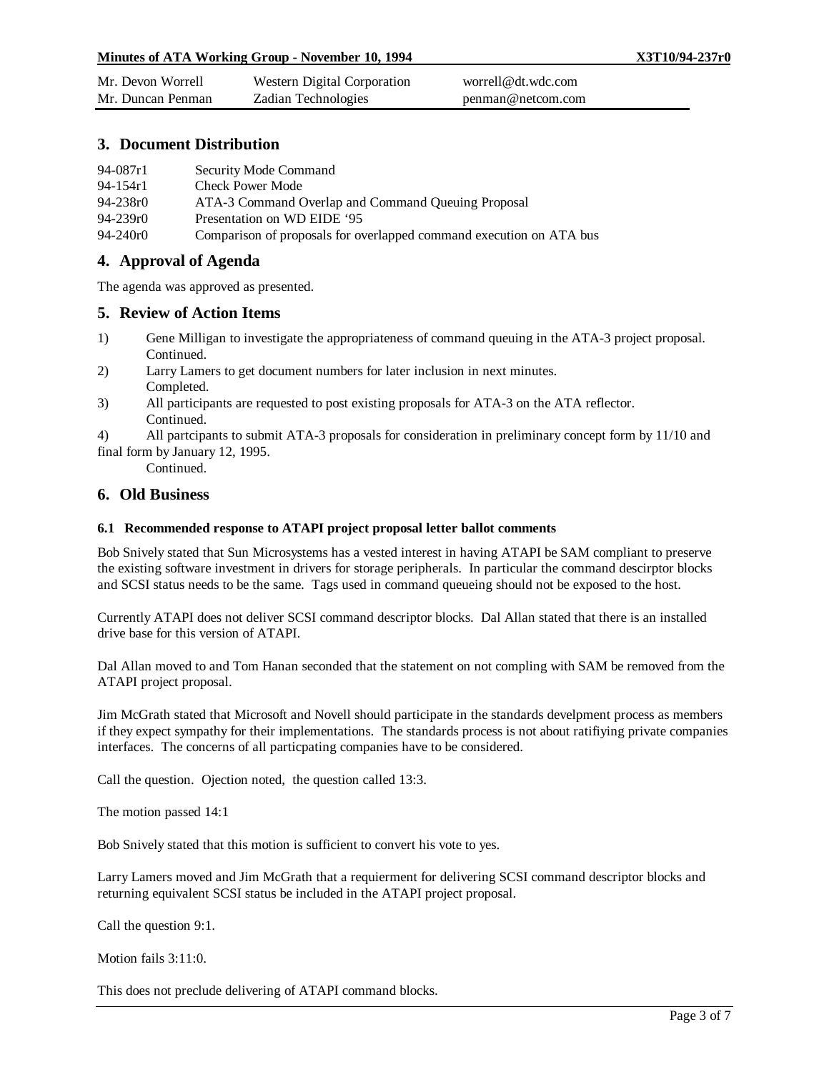| Mr. Devon Worrell | Western Digital Corporation | worrell@dt.wdc.com |
|-------------------|-----------------------------|--------------------|
| Mr. Duncan Penman | Zadian Technologies         | penman@netcom.com  |

# **3. Document Distribution**

| 94-087r1     | Security Mode Command                                               |
|--------------|---------------------------------------------------------------------|
| 94-154r1     | <b>Check Power Mode</b>                                             |
| 94-238r0     | ATA-3 Command Overlap and Command Oueuing Proposal                  |
| $94 - 239r0$ | Presentation on WD EIDE '95                                         |
| 94-240r0     | Comparison of proposals for overlapped command execution on ATA bus |

# **4. Approval of Agenda**

The agenda was approved as presented.

### **5. Review of Action Items**

- 1) Gene Milligan to investigate the appropriateness of command queuing in the ATA-3 project proposal. Continued.
- 2) Larry Lamers to get document numbers for later inclusion in next minutes. Completed.
- 3) All participants are requested to post existing proposals for ATA-3 on the ATA reflector. Continued.
- 4) All partcipants to submit ATA-3 proposals for consideration in preliminary concept form by 11/10 and final form by January 12, 1995.

Continued.

### **6. Old Business**

#### **6.1 Recommended response to ATAPI project proposal letter ballot comments**

Bob Snively stated that Sun Microsystems has a vested interest in having ATAPI be SAM compliant to preserve the existing software investment in drivers for storage peripherals. In particular the command descirptor blocks and SCSI status needs to be the same. Tags used in command queueing should not be exposed to the host.

Currently ATAPI does not deliver SCSI command descriptor blocks. Dal Allan stated that there is an installed drive base for this version of ATAPI.

Dal Allan moved to and Tom Hanan seconded that the statement on not compling with SAM be removed from the ATAPI project proposal.

Jim McGrath stated that Microsoft and Novell should participate in the standards develpment process as members if they expect sympathy for their implementations. The standards process is not about ratifiying private companies interfaces. The concerns of all particpating companies have to be considered.

Call the question. Ojection noted, the question called 13:3.

The motion passed 14:1

Bob Snively stated that this motion is sufficient to convert his vote to yes.

Larry Lamers moved and Jim McGrath that a requierment for delivering SCSI command descriptor blocks and returning equivalent SCSI status be included in the ATAPI project proposal.

Call the question 9:1.

Motion fails 3:11:0.

This does not preclude delivering of ATAPI command blocks.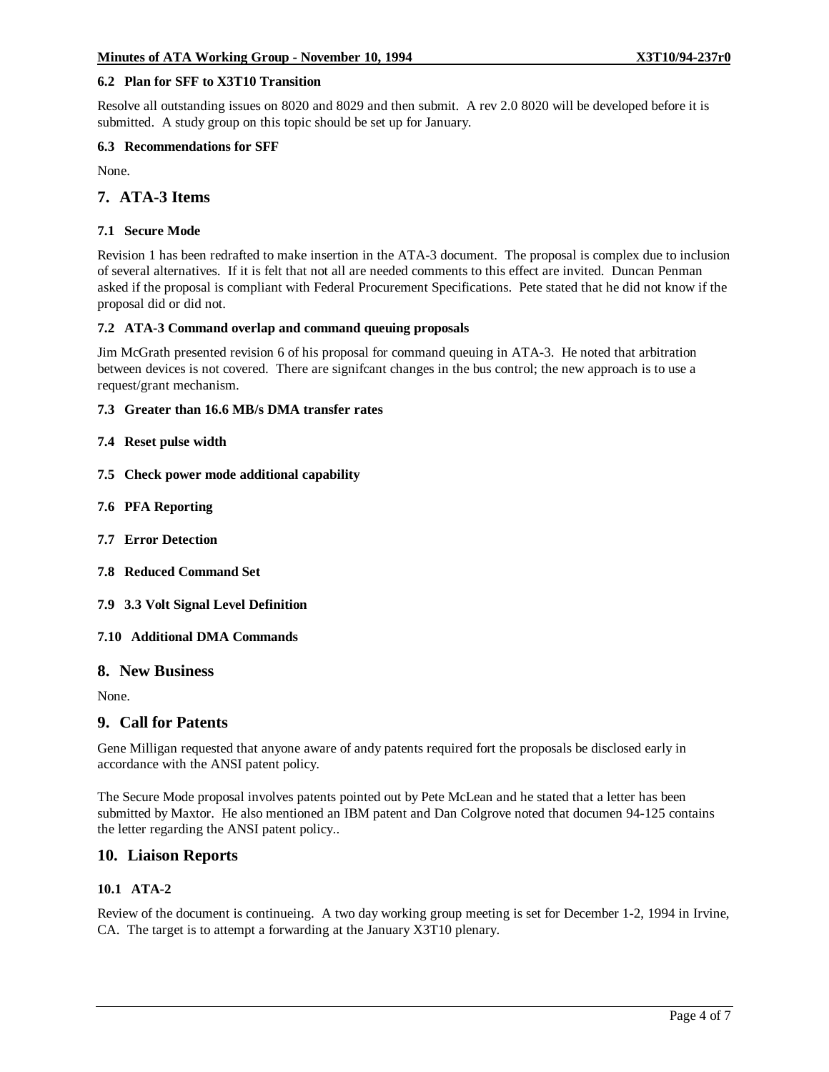#### **6.2 Plan for SFF to X3T10 Transition**

Resolve all outstanding issues on 8020 and 8029 and then submit. A rev 2.0 8020 will be developed before it is submitted. A study group on this topic should be set up for January.

#### **6.3 Recommendations for SFF**

None.

# **7. ATA-3 Items**

#### **7.1 Secure Mode**

Revision 1 has been redrafted to make insertion in the ATA-3 document. The proposal is complex due to inclusion of several alternatives. If it is felt that not all are needed comments to this effect are invited. Duncan Penman asked if the proposal is compliant with Federal Procurement Specifications. Pete stated that he did not know if the proposal did or did not.

#### **7.2 ATA-3 Command overlap and command queuing proposals**

Jim McGrath presented revision 6 of his proposal for command queuing in ATA-3. He noted that arbitration between devices is not covered. There are signifcant changes in the bus control; the new approach is to use a request/grant mechanism.

#### **7.3 Greater than 16.6 MB/s DMA transfer rates**

#### **7.4 Reset pulse width**

- **7.5 Check power mode additional capability**
- **7.6 PFA Reporting**
- **7.7 Error Detection**
- **7.8 Reduced Command Set**
- **7.9 3.3 Volt Signal Level Definition**

#### **7.10 Additional DMA Commands**

## **8. New Business**

None.

#### **9. Call for Patents**

Gene Milligan requested that anyone aware of andy patents required fort the proposals be disclosed early in accordance with the ANSI patent policy.

The Secure Mode proposal involves patents pointed out by Pete McLean and he stated that a letter has been submitted by Maxtor. He also mentioned an IBM patent and Dan Colgrove noted that documen 94-125 contains the letter regarding the ANSI patent policy..

## **10. Liaison Reports**

#### **10.1 ATA-2**

Review of the document is continueing. A two day working group meeting is set for December 1-2, 1994 in Irvine, CA. The target is to attempt a forwarding at the January X3T10 plenary.